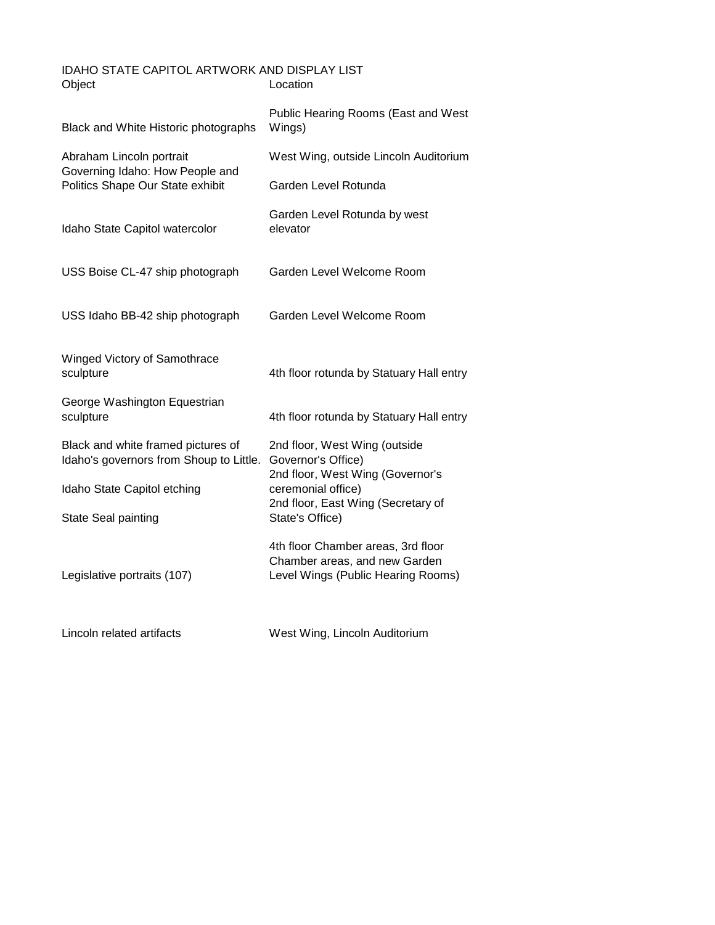## Object Location IDAHO STATE CAPITOL ARTWORK AND DISPLAY LIST

| Black and White Historic photographs                                                            | Public Hearing Rooms (East and West<br>Wings)                                                                                                                          |
|-------------------------------------------------------------------------------------------------|------------------------------------------------------------------------------------------------------------------------------------------------------------------------|
| Abraham Lincoln portrait<br>Governing Idaho: How People and<br>Politics Shape Our State exhibit | West Wing, outside Lincoln Auditorium                                                                                                                                  |
|                                                                                                 | Garden Level Rotunda                                                                                                                                                   |
| Idaho State Capitol watercolor                                                                  | Garden Level Rotunda by west<br>elevator                                                                                                                               |
| USS Boise CL-47 ship photograph                                                                 | Garden Level Welcome Room                                                                                                                                              |
| USS Idaho BB-42 ship photograph                                                                 | Garden Level Welcome Room                                                                                                                                              |
| Winged Victory of Samothrace<br>sculpture                                                       | 4th floor rotunda by Statuary Hall entry                                                                                                                               |
| George Washington Equestrian<br>sculpture                                                       | 4th floor rotunda by Statuary Hall entry                                                                                                                               |
| Black and white framed pictures of<br>Idaho's governors from Shoup to Little.                   | 2nd floor, West Wing (outside<br>Governor's Office)<br>2nd floor, West Wing (Governor's<br>ceremonial office)<br>2nd floor, East Wing (Secretary of<br>State's Office) |
| Idaho State Capitol etching                                                                     |                                                                                                                                                                        |
| State Seal painting                                                                             |                                                                                                                                                                        |
| Legislative portraits (107)                                                                     | 4th floor Chamber areas, 3rd floor<br>Chamber areas, and new Garden<br>Level Wings (Public Hearing Rooms)                                                              |
| Lincoln related artifacts                                                                       | West Wing, Lincoln Auditorium                                                                                                                                          |